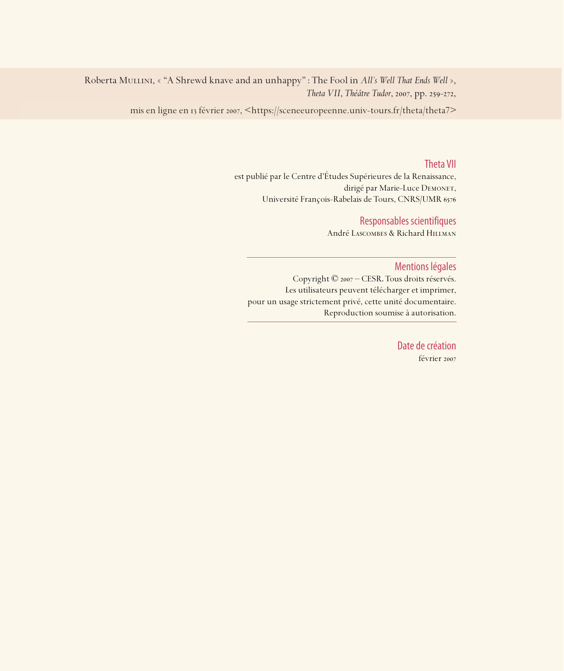Roberta Mullini, « "A Shrewd knave and an unhappy" : The Fool in *All's Well That Ends Well* », *Theta VII*, *Théâtre Tudor*, 2007, pp. 259-272,

mis en ligne en 13 février 2007, <https://sceneeuropeenne.univ-tours.fr/theta/theta7>

#### Theta VII

est publié par le Centre d'Études Supérieures de la Renaissance, dirigé par Marie-Luce DEMONET, Université François-Rabelais de Tours, CNRS/UMR

#### Responsables scientifiques

André Lascombes & Richard Hillman

#### Mentions légales

Copyright © 2007 – CESR. Tous droits réservés. Les utilisateurs peuvent télécharger et imprimer, pour un usage strictement privé, cette unité documentaire. Reproduction soumise à autorisation.

> Date de création février 2007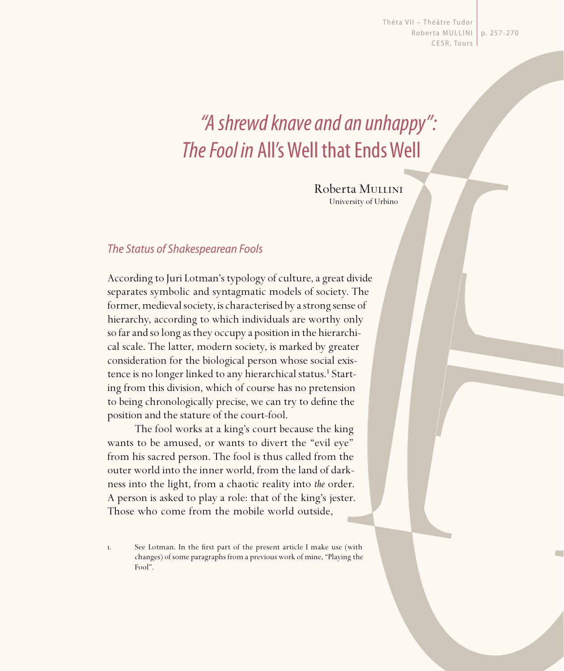Thêta VII - Théâtre Tudor Roberta MULLINI | p. 257-270 CESR, Tours

# "A shrewd knave and an unhappy": The Fool in All's Well that Ends Well

Roberta Mullini University of Urbino

# The Status of Shakespearean Fools

According to Juri Lotman's typology of culture, a great divide separates symbolic and syntagmatic models of society. The former, medieval society, is characterised by a strong sense of hierarchy, according to which individuals are worthy only so far and so long as they occupy a position in the hierarchical scale. The latter, modern society, is marked by greater consideration for the biological person whose social existence is no longer linked to any hierarchical status.<sup>1</sup> Starting from this division, which of course has no pretension to being chronologically precise, we can try to define the position and the stature of the court-fool.

The fool works at a king's court because the king wants to be amused, or wants to divert the "evil eye" from his sacred person. The fool is thus called from the outer world into the inner world, from the land of darkness into the light, from a chaotic reality into *the* order. A person is asked to play a role: that of the king's jester. Those who come from the mobile world outside,

I. See Lotman. In the first part of the present article I make use (with changes) of some paragraphs from a previous work of mine, "Playing the Fool".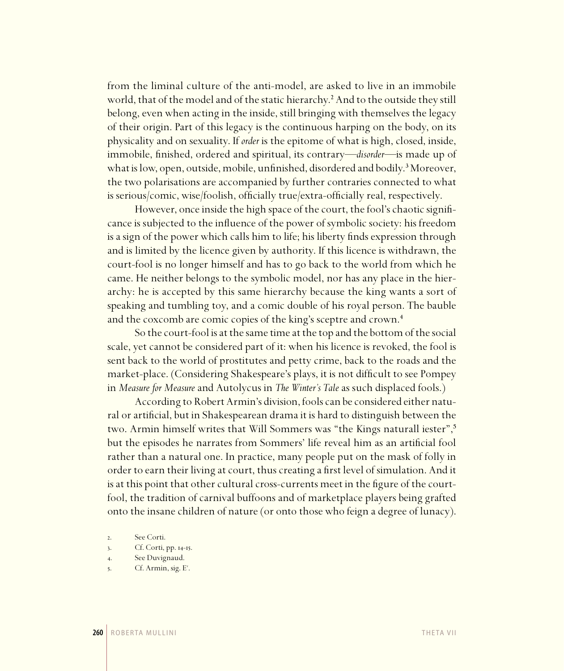from the liminal culture of the anti-model, are asked to live in an immobile world, that of the model and of the static hierarchy.<sup>2</sup> And to the outside they still belong, even when acting in the inside, still bringing with themselves the legacy of their origin. Part of this legacy is the continuous harping on the body, on its physicality and on sexuality. If *order* is the epitome of what is high, closed, inside, immobile, finished, ordered and spiritual, its contrary—*disorder—*is made up of what is low, open, outside, mobile, unfinished, disordered and bodily.<sup>3</sup> Moreover, the two polarisations are accompanied by further contraries connected to what is serious/comic, wise/foolish, officially true/extra-officially real, respectively.

However, once inside the high space of the court, the fool's chaotic significance is subjected to the influence of the power of symbolic society: his freedom is a sign of the power which calls him to life; his liberty finds expression through and is limited by the licence given by authority. If this licence is withdrawn, the court-fool is no longer himself and has to go back to the world from which he came. He neither belongs to the symbolic model, nor has any place in the hierarchy: he is accepted by this same hierarchy because the king wants a sort of speaking and tumbling toy, and a comic double of his royal person. The bauble and the coxcomb are comic copies of the king's sceptre and crown.<sup>4</sup>

So the court-fool is at the same time at the top and the bottom of the social scale, yet cannot be considered part of it: when his licence is revoked, the fool is sent back to the world of prostitutes and petty crime, back to the roads and the market-place. (Considering Shakespeare's plays, it is not difficult to see Pompey in *Measure for Measure* and Autolycus in *The Winter's Tale* as such displaced fools.)

According to Robert Armin's division, fools can be considered either natural or artificial, but in Shakespearean drama it is hard to distinguish between the two. Armin himself writes that Will Sommers was "the Kings naturall iester",<sup>5</sup> but the episodes he narrates from Sommers' life reveal him as an artificial fool rather than a natural one. In practice, many people put on the mask of folly in order to earn their living at court, thus creating a first level of simulation. And it is at this point that other cultural cross-currents meet in the figure of the courtfool, the tradition of carnival buffoons and of marketplace players being grafted onto the insane children of nature (or onto those who feign a degree of lunacy).

. Cf. Armin, sig. E .

<sup>.</sup> See Corti.

<sup>3.</sup> Cf. Corti, pp. 14-15.

<sup>.</sup> See Duvignaud.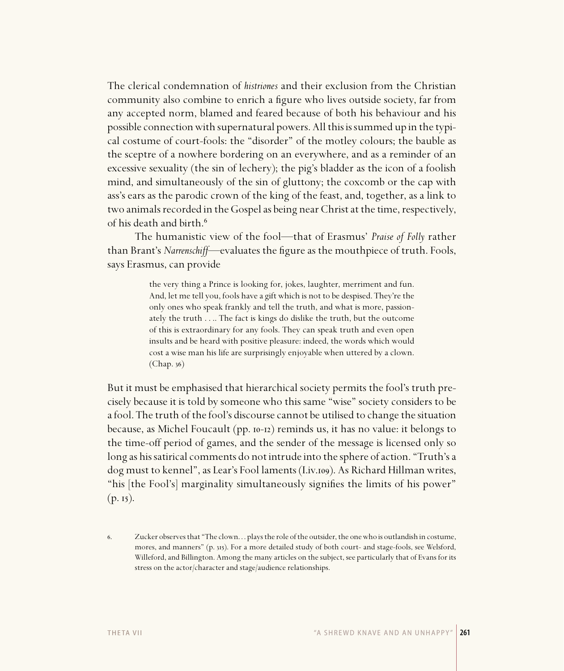The clerical condemnation of *histriones* and their exclusion from the Christian community also combine to enrich a figure who lives outside society, far from any accepted norm, blamed and feared because of both his behaviour and his possible connection with supernatural powers. All this is summed up in the typical costume of court-fools: the "disorder" of the motley colours; the bauble as the sceptre of a nowhere bordering on an everywhere, and as a reminder of an excessive sexuality (the sin of lechery); the pig's bladder as the icon of a foolish mind, and simultaneously of the sin of gluttony; the coxcomb or the cap with ass's ears as the parodic crown of the king of the feast, and, together, as a link to two animals recorded in the Gospel as being near Christ at the time, respectively, of his death and birth.<sup>6</sup>

The humanistic view of the fool—that of Erasmus' *Praise of Folly* rather than Brant's *Narrenschiff*—evaluates the figure as the mouthpiece of truth. Fools, says Erasmus, can provide

> the very thing a Prince is looking for, jokes, laughter, merriment and fun. And, let me tell you, fools have a gift which is not to be despised. They're the only ones who speak frankly and tell the truth, and what is more, passionately the truth . . .. The fact is kings do dislike the truth, but the outcome of this is extraordinary for any fools. They can speak truth and even open insults and be heard with positive pleasure: indeed, the words which would cost a wise man his life are surprisingly enjoyable when uttered by a clown.  $(Chap. 36)$

But it must be emphasised that hierarchical society permits the fool's truth precisely because it is told by someone who this same "wise" society considers to be a fool. The truth of the fool's discourse cannot be utilised to change the situation because, as Michel Foucault (pp.  $10-12$ ) reminds us, it has no value: it belongs to the time-off period of games, and the sender of the message is licensed only so long as his satirical comments do not intrude into the sphere of action. "Truth's a dog must to kennel", as Lear's Fool laments (I.iv.109). As Richard Hillman writes, "his [the Fool's] marginality simultaneously signifies the limits of his power"  $(p. 15)$ .

<sup>.</sup> Zucker observes that "The clown. . . plays the role of the outsider, the one who is outlandish in costume, mores, and manners" (p. 315). For a more detailed study of both court- and stage-fools, see Welsford, Willeford, and Billington. Among the many articles on the subject, see particularly that of Evans for its stress on the actor/character and stage/audience relationships.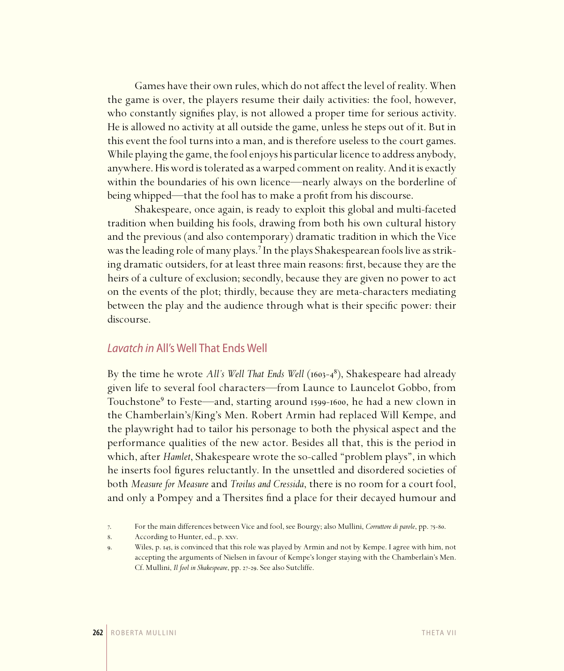Games have their own rules, which do not affect the level of reality. When the game is over, the players resume their daily activities: the fool, however, who constantly signifies play, is not allowed a proper time for serious activity. He is allowed no activity at all outside the game, unless he steps out of it. But in this event the fool turns into a man, and is therefore useless to the court games. While playing the game, the fool enjoys his particular licence to address anybody, anywhere. His word is tolerated as a warped comment on reality. And it is exactly within the boundaries of his own licence—nearly always on the borderline of being whipped—that the fool has to make a profit from his discourse.

Shakespeare, once again, is ready to exploit this global and multi-faceted tradition when building his fools, drawing from both his own cultural history and the previous (and also contemporary) dramatic tradition in which the Vice was the leading role of many plays.<sup>7</sup> In the plays Shakespearean fools live as striking dramatic outsiders, for at least three main reasons: first, because they are the heirs of a culture of exclusion; secondly, because they are given no power to act on the events of the plot; thirdly, because they are meta-characters mediating between the play and the audience through what is their specific power: their discourse.

### Lavatch in All's Well That Ends Well

By the time he wrote *All's Well That Ends Well* (1603–4<sup>8</sup>), Shakespeare had already given life to several fool characters—from Launce to Launcelot Gobbo, from Touchstone<sup>9</sup> to Feste—and, starting around 1599-1600, he had a new clown in the Chamberlain's/King's Men. Robert Armin had replaced Will Kempe, and the playwright had to tailor his personage to both the physical aspect and the performance qualities of the new actor. Besides all that, this is the period in which, after *Hamlet*, Shakespeare wrote the so-called "problem plays", in which he inserts fool figures reluctantly. In the unsettled and disordered societies of both *Measure for Measure* and *Troilus and Cressida*, there is no room for a court fool, and only a Pompey and a Thersites find a place for their decayed humour and

<sup>7.</sup> For the main differences between Vice and fool, see Bourgy; also Mullini, *Corruttore di parole*, pp. 75-80.

<sup>.</sup> According to Hunter, ed., p. xxv.

<sup>9.</sup> Wiles, p. 145, is convinced that this role was played by Armin and not by Kempe. I agree with him, not accepting the arguments of Nielsen in favour of Kempe's longer staying with the Chamberlain's Men. Cf. Mullini, *Il fool in Shakespeare*, pp. 27-29. See also Sutcliffe.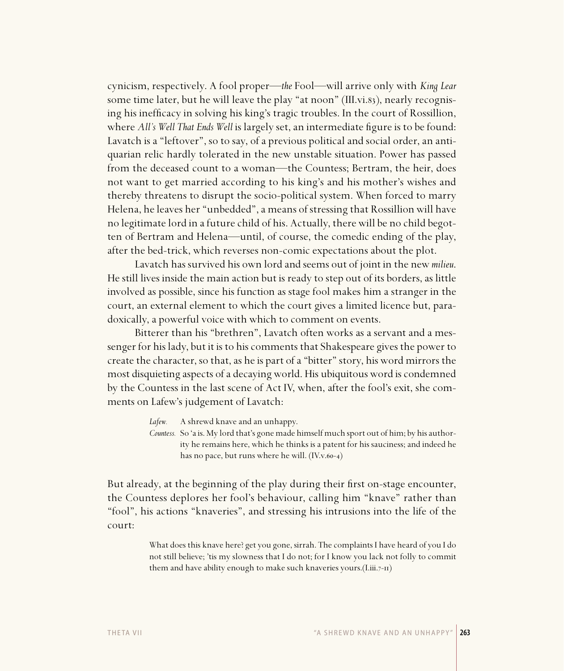cynicism, respectively. A fool proper—*the* Fool—will arrive only with *King Lear*  some time later, but he will leave the play "at noon" (III.vi.83), nearly recognising his inefficacy in solving his king's tragic troubles. In the court of Rossillion, where *All's Well That Ends Well* is largely set, an intermediate figure is to be found: Lavatch is a "leftover", so to say, of a previous political and social order, an antiquarian relic hardly tolerated in the new unstable situation. Power has passed from the deceased count to a woman—the Countess; Bertram, the heir, does not want to get married according to his king's and his mother's wishes and thereby threatens to disrupt the socio-political system. When forced to marry Helena, he leaves her "unbedded", a means of stressing that Rossillion will have no legitimate lord in a future child of his. Actually, there will be no child begotten of Bertram and Helena—until, of course, the comedic ending of the play, after the bed-trick, which reverses non-comic expectations about the plot.

Lavatch has survived his own lord and seems out of joint in the new *milieu*. He still lives inside the main action but is ready to step out of its borders, as little involved as possible, since his function as stage fool makes him a stranger in the court, an external element to which the court gives a limited licence but, paradoxically, a powerful voice with which to comment on events.

Bitterer than his "brethren", Lavatch often works as a servant and a messenger for his lady, but it is to his comments that Shakespeare gives the power to create the character, so that, as he is part of a "bitter" story, his word mirrors the most disquieting aspects of a decaying world. His ubiquitous word is condemned by the Countess in the last scene of Act IV, when, after the fool's exit, she comments on Lafew's judgement of Lavatch:

| Lafew. | A shrewd knave and an unhappy. |  |
|--------|--------------------------------|--|
|        | .                              |  |

*Countess.* So 'a is. My lord that's gone made himself much sport out of him; by his authority he remains here, which he thinks is a patent for his sauciness; and indeed he has no pace, but runs where he will.  $(IV.v.60-4)$ 

But already, at the beginning of the play during their first on-stage encounter, the Countess deplores her fool's behaviour, calling him "knave" rather than "fool", his actions "knaveries", and stressing his intrusions into the life of the court:

> What does this knave here? get you gone, sirrah. The complaints I have heard of you I do not still believe; 'tis my slowness that I do not; for I know you lack not folly to commit them and have ability enough to make such knaveries yours. $(I.iii.7-n)$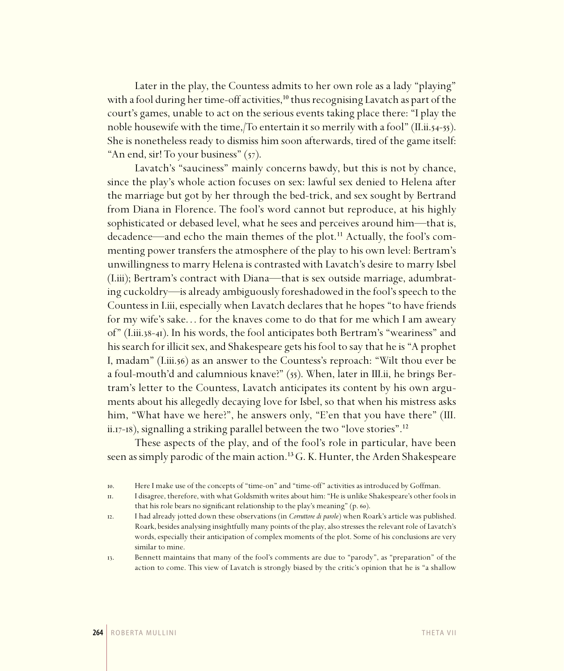Later in the play, the Countess admits to her own role as a lady "playing" with a fool during her time-off activities,<sup>10</sup> thus recognising Lavatch as part of the court's games, unable to act on the serious events taking place there: "I play the noble housewife with the time,/To entertain it so merrily with a fool" (II.ii.54-55). She is nonetheless ready to dismiss him soon afterwards, tired of the game itself: "An end, sir! To your business"  $(57)$ .

Lavatch's "sauciness" mainly concerns bawdy, but this is not by chance, since the play's whole action focuses on sex: lawful sex denied to Helena after the marriage but got by her through the bed-trick, and sex sought by Bertrand from Diana in Florence. The fool's word cannot but reproduce, at his highly sophisticated or debased level, what he sees and perceives around him—that is, decadence—and echo the main themes of the plot.<sup>11</sup> Actually, the fool's commenting power transfers the atmosphere of the play to his own level: Bertram's unwillingness to marry Helena is contrasted with Lavatch's desire to marry Isbel (I.iii); Bertram's contract with Diana—that is sex outside marriage, adumbrating cuckoldry—is already ambiguously foreshadowed in the fool's speech to the Countess in I.iii, especially when Lavatch declares that he hopes "to have friends for my wife's sake... for the knaves come to do that for me which I am aweary of" (Liii.38-41). In his words, the fool anticipates both Bertram's "weariness" and his search for illicit sex, and Shakespeare gets his fool to say that he is "A prophet I, madam" (I.iii.56) as an answer to the Countess's reproach: "Wilt thou ever be a foul-mouth'd and calumnious knave?"  $(55)$ . When, later in III.ii, he brings Bertram's letter to the Countess, Lavatch anticipates its content by his own arguments about his allegedly decaying love for Isbel, so that when his mistress asks him, "What have we here?", he answers only, "E'en that you have there" (III. ii. $17-18$ ), signalling a striking parallel between the two "love stories".<sup>12</sup>

These aspects of the play, and of the fool's role in particular, have been seen as simply parodic of the main action.<sup>13</sup> G. K. Hunter, the Arden Shakespeare

. Here I make use of the concepts of "time-on" and "time-off" activities as introduced by Goffman.

<sup>.</sup> I disagree, therefore, with what Goldsmith writes about him: "He is unlike Shakespeare's other fools in that his role bears no significant relationship to the play's meaning"  $(p. 60)$ .

<sup>.</sup> I had already jotted down these observations (in *Corruttore di parole*) when Roark's article was published. Roark, besides analysing insightfully many points of the play, also stresses the relevant role of Lavatch's words, especially their anticipation of complex moments of the plot. Some of his conclusions are very similar to mine.

<sup>.</sup> Bennett maintains that many of the fool's comments are due to "parody", as "preparation" of the action to come. This view of Lavatch is strongly biased by the critic's opinion that he is "a shallow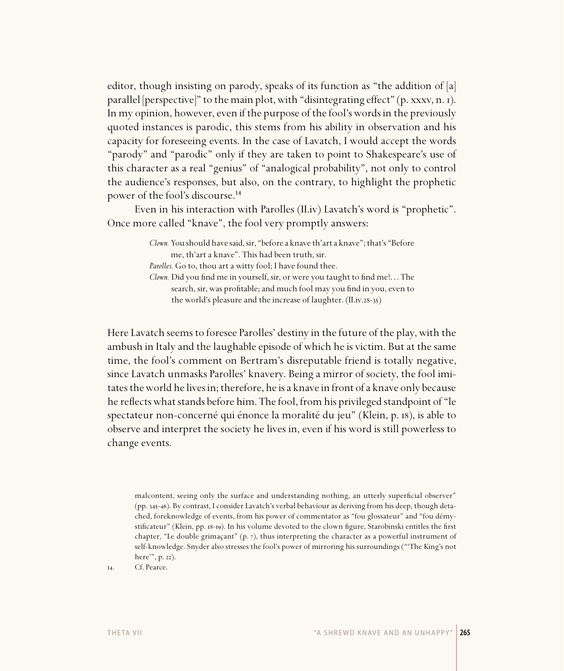editor, though insisting on parody, speaks of its function as "the addition of [a] parallel [perspective]" to the main plot, with "disintegrating effect" (p. xxxv, n. 1). In my opinion, however, even if the purpose of the fool's words in the previously quoted instances is parodic, this stems from his ability in observation and his capacity for foreseeing events. In the case of Lavatch, I would accept the words "parody" and "parodic" only if they are taken to point to Shakespeare's use of this character as a real "genius" of "analogical probability", not only to control the audience's responses, but also, on the contrary, to highlight the prophetic power of the fool's discourse.<sup>14</sup>

Even in his interaction with Parolles (II.iv) Lavatch's word is "prophetic". Once more called "knave", the fool very promptly answers:

> *Clown.* You should have said, sir, "before a knave th'art a knave"; that's "Before me, th'art a knave". This had been truth, sir.

*Parolles.* Go to, thou art a witty fool; I have found thee.

*Clown.* Did you find me in yourself, sir, or were you taught to find me?... The search, sir, was profitable; and much fool may you find in you, even to the world's pleasure and the increase of laughter.  $(II.iv.28-35)$ 

Here Lavatch seems to foresee Parolles' destiny in the future of the play, with the ambush in Italy and the laughable episode of which he is victim. But at the same time, the fool's comment on Bertram's disreputable friend is totally negative, since Lavatch unmasks Parolles' knavery. Being a mirror of society, the fool imitates the world he lives in; therefore, he is a knave in front of a knave only because he reflects what stands before him. The fool, from his privileged standpoint of "le spectateur non-concerné qui énonce la moralité du jeu" (Klein, p. 18), is able to observe and interpret the society he lives in, even if his word is still powerless to change events.

malcontent, seeing only the surface and understanding nothing, an utterly superficial observer" (pp. 345-46). By contrast, I consider Lavatch's verbal behaviour as deriving from his deep, though detached, foreknowledge of events, from his power of commentator as "fou glossateur" and "fou démystificateur" (Klein, pp. 18-19). In his volume devoted to the clown figure, Starobinski entitles the first chapter, "Le double grimaçant" (p.  $7$ ), thus interpreting the character as a powerful instrument of self-knowledge. Snyder also stresses the fool's power of mirroring his surroundings ("'The King's not here", p. 22).

14. Cf. Pearce.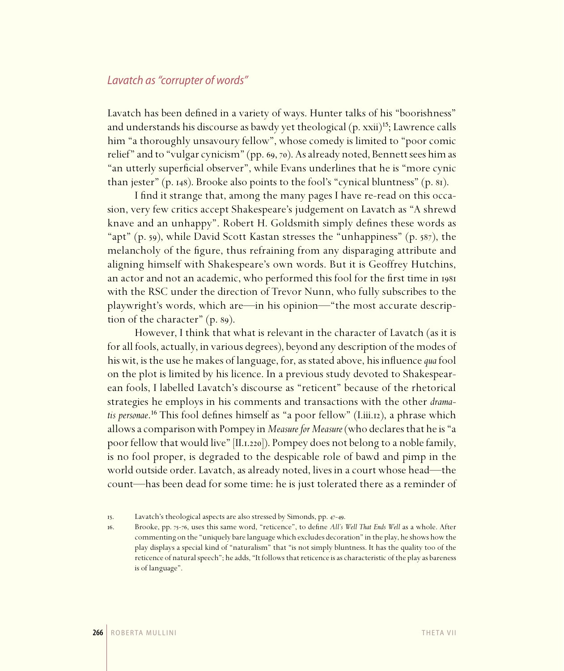## Lavatch as "corrupter of words"

Lavatch has been defined in a variety of ways. Hunter talks of his "boorishness" and understands his discourse as bawdy yet theological  $(p, xxi)^{15}$ ; Lawrence calls him "a thoroughly unsavoury fellow", whose comedy is limited to "poor comic relief" and to "vulgar cynicism" (pp. 69, 70). As already noted, Bennett sees him as "an utterly superficial observer", while Evans underlines that he is "more cynic than jester" (p. 148). Brooke also points to the fool's "cynical bluntness" (p.  $\delta$ r).

I find it strange that, among the many pages I have re-read on this occasion, very few critics accept Shakespeare's judgement on Lavatch as "A shrewd knave and an unhappy". Robert H. Goldsmith simply defines these words as "apt" (p. 59), while David Scott Kastan stresses the "unhappiness" (p. 587), the melancholy of the figure, thus refraining from any disparaging attribute and aligning himself with Shakespeare's own words. But it is Geoffrey Hutchins, an actor and not an academic, who performed this fool for the first time in 1981 with the RSC under the direction of Trevor Nunn, who fully subscribes to the playwright's words, which are—in his opinion—"the most accurate description of the character"  $(p. 89)$ .

However, I think that what is relevant in the character of Lavatch (as it is for all fools, actually, in various degrees), beyond any description of the modes of his wit, is the use he makes of language, for, as stated above, his influence *qua* fool on the plot is limited by his licence. In a previous study devoted to Shakespearean fools, I labelled Lavatch's discourse as "reticent" because of the rhetorical strategies he employs in his comments and transactions with the other *dramatis personae*.<sup>16</sup> This fool defines himself as "a poor fellow" (I.iii.12), a phrase which allows a comparison with Pompey in *Measure for Measure* (who declares that he is "a poor fellow that would live"  $[I_{1.1.220}]$ ). Pompey does not belong to a noble family, is no fool proper, is degraded to the despicable role of bawd and pimp in the world outside order. Lavatch, as already noted, lives in a court whose head—the count—has been dead for some time: he is just tolerated there as a reminder of

<sup>15.</sup> Lavatch's theological aspects are also stressed by Simonds, pp. 47-49.

<sup>16.</sup> Brooke, pp. 75-76, uses this same word, "reticence", to define *All's Well That Ends Well* as a whole. After commenting on the "uniquely bare language which excludes decoration" in the play, he shows how the play displays a special kind of "naturalism" that "is not simply bluntness. It has the quality too of the reticence of natural speech"; he adds, "It follows that reticence is as characteristic of the play as bareness is of language".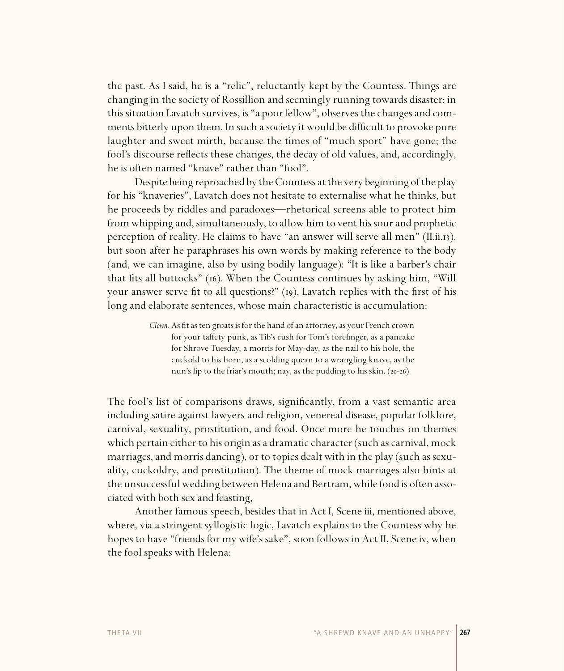the past. As I said, he is a "relic", reluctantly kept by the Countess. Things are changing in the society of Rossillion and seemingly running towards disaster: in this situation Lavatch survives, is "a poor fellow", observes the changes and comments bitterly upon them. In such a society it would be difficult to provoke pure laughter and sweet mirth, because the times of "much sport" have gone; the fool's discourse reflects these changes, the decay of old values, and, accordingly, he is often named "knave" rather than "fool".

Despite being reproached by the Countess at the very beginning of the play for his "knaveries", Lavatch does not hesitate to externalise what he thinks, but he proceeds by riddles and paradoxes—rhetorical screens able to protect him from whipping and, simultaneously, to allow him to vent his sour and prophetic perception of reality. He claims to have "an answer will serve all men"  $(II.ii.13)$ , but soon after he paraphrases his own words by making reference to the body (and, we can imagine, also by using bodily language): "It is like a barber's chair that fits all buttocks" (16). When the Countess continues by asking him, "Will your answer serve fit to all questions?"  $(p)$ , Lavatch replies with the first of his long and elaborate sentences, whose main characteristic is accumulation:

> *Clown.* As fit as ten groats is for the hand of an attorney, as your French crown for your taffety punk, as Tib's rush for Tom's forefinger, as a pancake for Shrove Tuesday, a morris for May-day, as the nail to his hole, the cuckold to his horn, as a scolding quean to a wrangling knave, as the nun's lip to the friar's mouth; nay, as the pudding to his skin.  $(20-26)$

The fool's list of comparisons draws, significantly, from a vast semantic area including satire against lawyers and religion, venereal disease, popular folklore, carnival, sexuality, prostitution, and food. Once more he touches on themes which pertain either to his origin as a dramatic character (such as carnival, mock marriages, and morris dancing), or to topics dealt with in the play (such as sexuality, cuckoldry, and prostitution). The theme of mock marriages also hints at the unsuccessful wedding between Helena and Bertram, while food is often associated with both sex and feasting,

Another famous speech, besides that in Act I, Scene iii, mentioned above, where, via a stringent syllogistic logic, Lavatch explains to the Countess why he hopes to have "friends for my wife's sake", soon follows in Act II, Scene iv, when the fool speaks with Helena: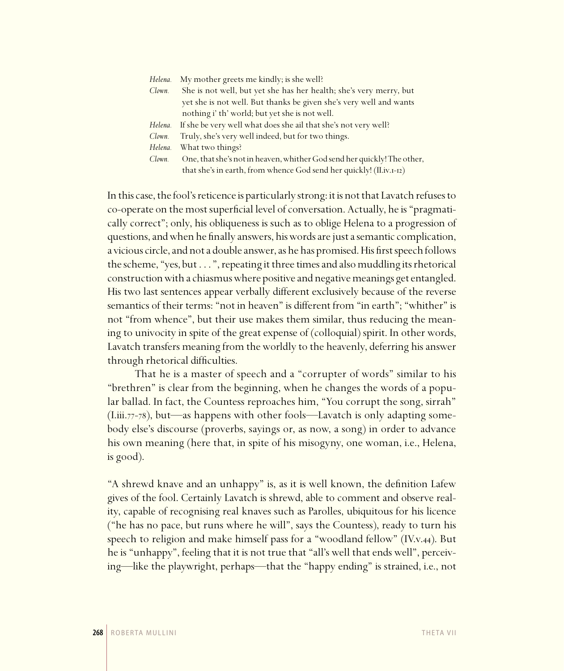| Helena. | My mother greets me kindly; is she well?                                |
|---------|-------------------------------------------------------------------------|
| Clown.  | She is not well, but yet she has her health; she's very merry, but      |
|         | yet she is not well. But thanks be given she's very well and wants      |
|         | nothing i' th' world; but yet she is not well.                          |
| Helena. | If she be very well what does she ail that she's not very well?         |
| Clown.  | Truly, she's very well indeed, but for two things.                      |
| Helena. | What two things?                                                        |
| Clown.  | One, that she's not in heaven, whither God send her quickly! The other, |
|         | that she's in earth, from whence God send her quickly! (II.iv.I-I2)     |

In this case, the fool's reticence is particularly strong: it is not that Lavatch refuses to co-operate on the most superficial level of conversation. Actually, he is "pragmatically correct"; only, his obliqueness is such as to oblige Helena to a progression of questions, and when he finally answers, his words are just a semantic complication, a vicious circle, and not a double answer, as he has promised. His first speech follows the scheme, "yes, but . . . ", repeating it three times and also muddling its rhetorical construction with a chiasmus where positive and negative meanings get entangled. His two last sentences appear verbally different exclusively because of the reverse semantics of their terms: "not in heaven" is different from "in earth"; "whither" is not "from whence", but their use makes them similar, thus reducing the meaning to univocity in spite of the great expense of (colloquial) spirit. In other words, Lavatch transfers meaning from the worldly to the heavenly, deferring his answer through rhetorical difficulties.

That he is a master of speech and a "corrupter of words" similar to his "brethren" is clear from the beginning, when he changes the words of a popular ballad. In fact, the Countess reproaches him, "You corrupt the song, sirrah"  $(I.iii.77-78)$ , but—as happens with other fools—Lavatch is only adapting somebody else's discourse (proverbs, sayings or, as now, a song) in order to advance his own meaning (here that, in spite of his misogyny, one woman, i.e., Helena, is good).

"A shrewd knave and an unhappy" is, as it is well known, the definition Lafew gives of the fool. Certainly Lavatch is shrewd, able to comment and observe reality, capable of recognising real knaves such as Parolles, ubiquitous for his licence ("he has no pace, but runs where he will", says the Countess), ready to turn his speech to religion and make himself pass for a "woodland fellow" (IV.v.44). But he is "unhappy", feeling that it is not true that "all's well that ends well", perceiving—like the playwright, perhaps—that the "happy ending" is strained, i.e., not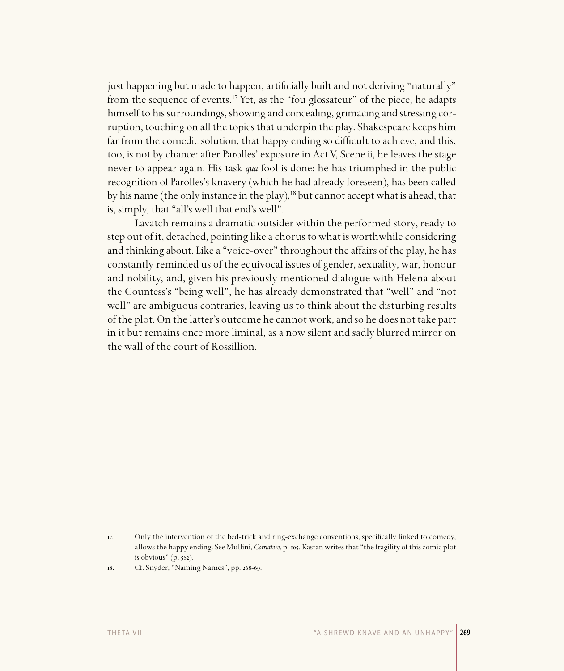just happening but made to happen, artificially built and not deriving "naturally" from the sequence of events.<sup>17</sup> Yet, as the "fou glossateur" of the piece, he adapts himself to his surroundings, showing and concealing, grimacing and stressing corruption, touching on all the topics that underpin the play. Shakespeare keeps him far from the comedic solution, that happy ending so difficult to achieve, and this, too, is not by chance: after Parolles' exposure in Act V, Scene ii, he leaves the stage never to appear again. His task *qua* fool is done: he has triumphed in the public recognition of Parolles's knavery (which he had already foreseen), has been called by his name (the only instance in the play), $^{18}$  but cannot accept what is ahead, that is, simply, that "all's well that end's well".

Lavatch remains a dramatic outsider within the performed story, ready to step out of it, detached, pointing like a chorus to what is worthwhile considering and thinking about. Like a "voice-over" throughout the affairs of the play, he has constantly reminded us of the equivocal issues of gender, sexuality, war, honour and nobility, and, given his previously mentioned dialogue with Helena about the Countess's "being well", he has already demonstrated that "well" and "not well" are ambiguous contraries, leaving us to think about the disturbing results of the plot. On the latter's outcome he cannot work, and so he does not take part in it but remains once more liminal, as a now silent and sadly blurred mirror on the wall of the court of Rossillion.

<sup>17.</sup> Only the intervention of the bed-trick and ring-exchange conventions, specifically linked to comedy, allows the happy ending. See Mullini, *Corruttore*, p. . Kastan writes that "the fragility of this comic plot is obvious"  $(p. 582)$ .

<sup>18.</sup> Cf. Snyder, "Naming Names", pp. 268-69.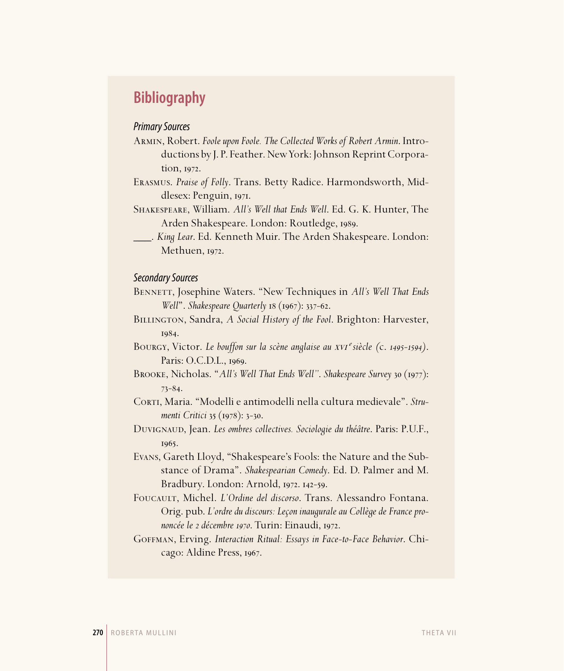# **Bibliography**

### Primary Sources

Armin, Robert. *Foole upon Foole. The Collected Works of Robert Armin*. Introductions by J. P. Feather. New York: Johnson Reprint Corpora $tion$ ,  $1972$ .

Erasmus. *Praise of Folly*. Trans. Betty Radice. Harmondsworth, Middlesex: Penguin, 1971.

Shakespeare, William. *All's Well that Ends Well*. Ed. G. K. Hunter, The Arden Shakespeare. London: Routledge, 1989.

\_\_\_. *King Lear*. Ed. Kenneth Muir. The Arden Shakespeare. London: Methuen, 1972.

#### Secondary Sources

Bennett, Josephine Waters. "New Techniques in *All's Well That Ends Well*". *Shakespeare Quarterly* 18 (1967): 337-62.

Billington, Sandra, *A Social History of the Fool*. Brighton: Harvester, 1984.

Bourgy, Victor. *Le bouffon sur la scène anglaise au* xvi *siècle (*c. *1495-1594)*. Paris: O.C.D.L., 1969.

BROOKE, Nicholas. "*All's Well That Ends Well"*. *Shakespeare Survey* 30 (1977):  $73 - 84.$ 

CORTI, Maria. "Modelli e antimodelli nella cultura medievale". Stru*menti Critici* 35 (1978): 3-30.

Duvignaud, Jean. *Les ombres collectives. Sociologie du théâtre*. Paris: P.U.F., 1965.

Evans, Gareth Lloyd, "Shakespeare's Fools: the Nature and the Substance of Drama". *Shakespearian Comedy*. Ed. D. Palmer and M. Bradbury. London: Arnold, 1972. 142-59.

Foucault, Michel. *L'Ordine del discorso*. Trans. Alessandro Fontana. Orig. pub. *L'ordre du discours: Leçon inaugurale au Collège de France prononcée le 2 décembre 1970*. Turin: Einaudi, 1972.

Goffman, Erving. *Interaction Ritual: Essays in Face-to-Face Behavior*. Chicago: Aldine Press, 1967.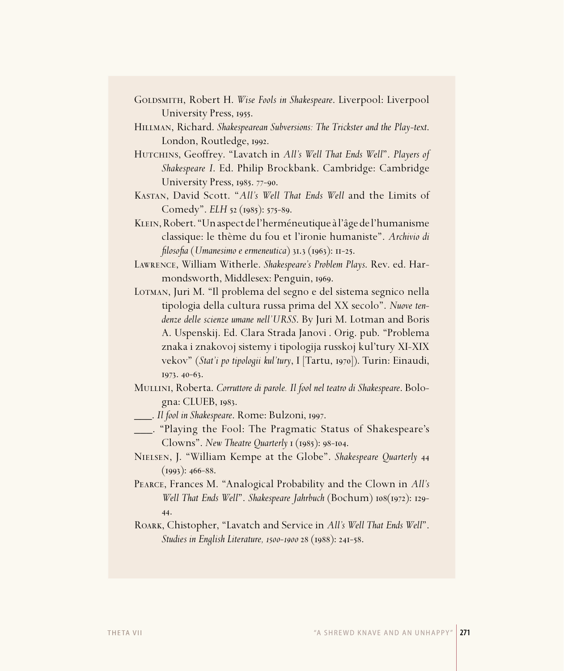- GOLDSMITH, Robert H. Wise Fools in Shakespeare. Liverpool: Liverpool University Press, 1955.
- Hillman, Richard. *Shakespearean Subversions: The Trickster and the Play-text*. London, Routledge, 1992.
- HUTCHINS, Geoffrey. "Lavatch in *All's Well That Ends Well"*. *Players of Shakespeare I*. Ed. Philip Brockbank. Cambridge: Cambridge University Press, 1985. 77-90.
- Kastan, David Scott. "*All's Well That Ends Well* and the Limits of Comedy". *ELH* 52 (1985): 575-89.
- Klein, Robert. "Un aspect de l'herméneutique à l'âge de l'humanisme classique: le thème du fou et l'ironie humaniste". *Archivio di filosofia* (*Umanesimo e ermeneutica*) 31.3 (1963): 11-25.
- Lawrence, William Witherle. *Shakespeare's Problem Plays*. Rev. ed. Harmondsworth, Middlesex: Penguin, 1969.
- Lotman, Juri M. "Il problema del segno e del sistema segnico nella tipologia della cultura russa prima del XX secolo". *Nuove tendenze delle scienze umane nell'URSS*. By Juri M. Lotman and Boris A. Uspenskij. Ed. Clara Strada Janovi�. Orig. pub. "Problema znaka i znakovoj sistemy i tipologija russkoj kul'tury XI-XIX vekov" (*Stat'i po tipologii kul'tury*, I [Tartu, 1970]). Turin: Einaudi, 1973. 40-63.
- Mullini, Roberta. *Corruttore di parole. Il fool nel teatro di Shakespeare*. Bologna: CLUEB, 1983.
- **\_\_\_\_**. *Il fool in Shakespeare*. Rome: Bulzoni, 1997.
- \_\_\_. "Playing the Fool: The Pragmatic Status of Shakespeare's Clowns". *New Theatre Quarterly* **1** (1985): 98-104.
- Nielsen, J. "William Kempe at the Globe". *Shakespeare Quarterly*  $(1993): 466-88.$
- Pearce, Frances M. "Analogical Probability and the Clown in *All's Well That Ends Well*". *Shakespeare Jahrbuch* (Bochum)  $108(1972)$ : 129-44.
- Roark, Chistopher, "Lavatch and Service in *All's Well That Ends Well*". *Studies in English Literature, 1500-1900* 28 (1988): 241-58.